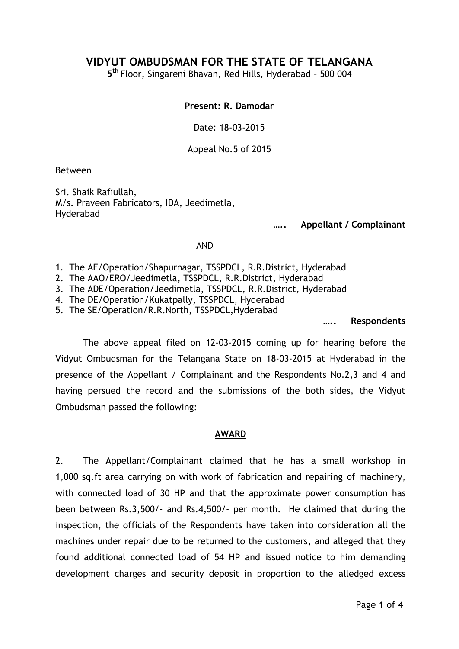# **VIDYUT OMBUDSMAN FOR THE STATE OF TELANGANA**

**5 th** Floor, Singareni Bhavan, Red Hills, Hyderabad – 500 004

#### **Present: R. Damodar**

Date: 18-03-2015

Appeal No.5 of 2015

Between

Sri. Shaik Rafiullah, M/s. Praveen Fabricators, IDA, Jeedimetla, Hyderabad

**….. Appellant / Complainant**

#### AND

- 1. The AE/Operation/Shapurnagar, TSSPDCL, R.R.District, Hyderabad
- 2. The AAO/ERO/Jeedimetla, TSSPDCL, R.R.District, Hyderabad
- 3. The ADE/Operation/Jeedimetla, TSSPDCL, R.R.District, Hyderabad
- 4. The DE/Operation/Kukatpally, TSSPDCL, Hyderabad
- 5. The SE/Operation/R.R.North, TSSPDCL,Hyderabad

**….. Respondents**

The above appeal filed on 12-03-2015 coming up for hearing before the Vidyut Ombudsman for the Telangana State on 18-03-2015 at Hyderabad in the presence of the Appellant / Complainant and the Respondents No.2,3 and 4 and having persued the record and the submissions of the both sides, the Vidyut Ombudsman passed the following:

#### **AWARD**

2. The Appellant/Complainant claimed that he has a small workshop in 1,000 sq.ft area carrying on with work of fabrication and repairing of machinery, with connected load of 30 HP and that the approximate power consumption has been between Rs.3,500/- and Rs.4,500/- per month. He claimed that during the inspection, the officials of the Respondents have taken into consideration all the machines under repair due to be returned to the customers, and alleged that they found additional connected load of 54 HP and issued notice to him demanding development charges and security deposit in proportion to the alledged excess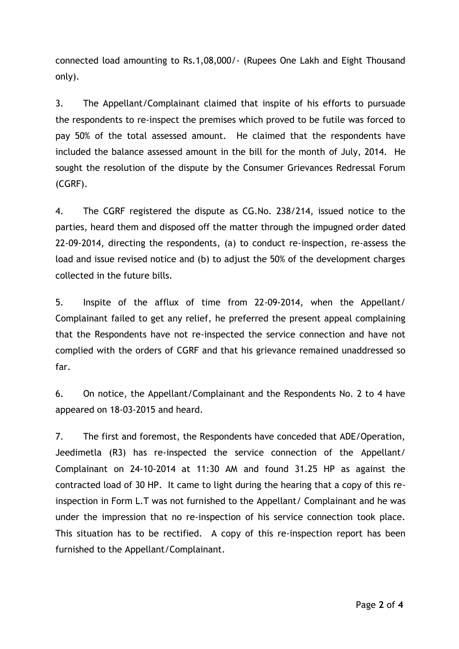connected load amounting to Rs.1,08,000/- (Rupees One Lakh and Eight Thousand only).

3. The Appellant/Complainant claimed that inspite of his efforts to pursuade the respondents to re-inspect the premises which proved to be futile was forced to pay 50% of the total assessed amount. He claimed that the respondents have included the balance assessed amount in the bill for the month of July, 2014. He sought the resolution of the dispute by the Consumer Grievances Redressal Forum (CGRF).

4. The CGRF registered the dispute as CG.No. 238/214, issued notice to the parties, heard them and disposed off the matter through the impugned order dated 22-09-2014, directing the respondents, (a) to conduct re-inspection, re-assess the load and issue revised notice and (b) to adjust the 50% of the development charges collected in the future bills.

5. Inspite of the afflux of time from 22-09-2014, when the Appellant/ Complainant failed to get any relief, he preferred the present appeal complaining that the Respondents have not re-inspected the service connection and have not complied with the orders of CGRF and that his grievance remained unaddressed so far.

6. On notice, the Appellant/Complainant and the Respondents No. 2 to 4 have appeared on 18-03-2015 and heard.

7. The first and foremost, the Respondents have conceded that ADE/Operation, Jeedimetla (R3) has re-inspected the service connection of the Appellant/ Complainant on 24-10-2014 at 11:30 AM and found 31.25 HP as against the contracted load of 30 HP. It came to light during the hearing that a copy of this reinspection in Form L.T was not furnished to the Appellant/ Complainant and he was under the impression that no re-inspection of his service connection took place. This situation has to be rectified. A copy of this re-inspection report has been furnished to the Appellant/Complainant.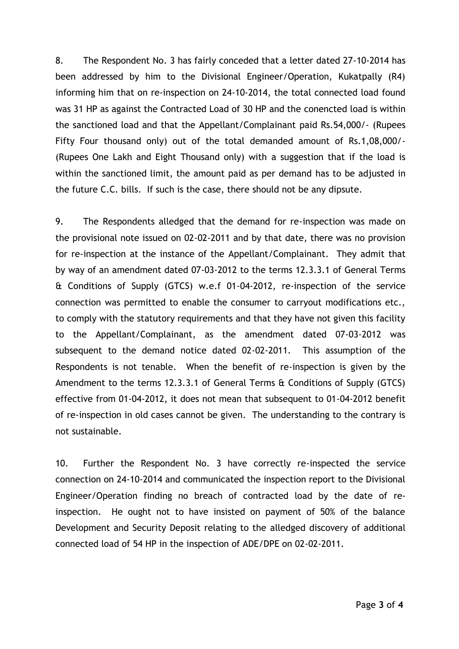8. The Respondent No. 3 has fairly conceded that a letter dated 27-10-2014 has been addressed by him to the Divisional Engineer/Operation, Kukatpally (R4) informing him that on re-inspection on 24-10-2014, the total connected load found was 31 HP as against the Contracted Load of 30 HP and the conencted load is within the sanctioned load and that the Appellant/Complainant paid Rs.54,000/- (Rupees Fifty Four thousand only) out of the total demanded amount of Rs.1,08,000/- (Rupees One Lakh and Eight Thousand only) with a suggestion that if the load is within the sanctioned limit, the amount paid as per demand has to be adjusted in the future C.C. bills. If such is the case, there should not be any dipsute.

9. The Respondents alledged that the demand for re-inspection was made on the provisional note issued on 02-02-2011 and by that date, there was no provision for re-inspection at the instance of the Appellant/Complainant. They admit that by way of an amendment dated 07-03-2012 to the terms 12.3.3.1 of General Terms & Conditions of Supply (GTCS) w.e.f 01-04-2012, re-inspection of the service connection was permitted to enable the consumer to carryout modifications etc., to comply with the statutory requirements and that they have not given this facility to the Appellant/Complainant, as the amendment dated 07-03-2012 was subsequent to the demand notice dated 02-02-2011. This assumption of the Respondents is not tenable. When the benefit of re-inspection is given by the Amendment to the terms 12.3.3.1 of General Terms & Conditions of Supply (GTCS) effective from 01-04-2012, it does not mean that subsequent to 01-04-2012 benefit of re-inspection in old cases cannot be given. The understanding to the contrary is not sustainable.

10. Further the Respondent No. 3 have correctly re-inspected the service connection on 24-10-2014 and communicated the inspection report to the Divisional Engineer/Operation finding no breach of contracted load by the date of reinspection. He ought not to have insisted on payment of 50% of the balance Development and Security Deposit relating to the alledged discovery of additional connected load of 54 HP in the inspection of ADE/DPE on 02-02-2011.